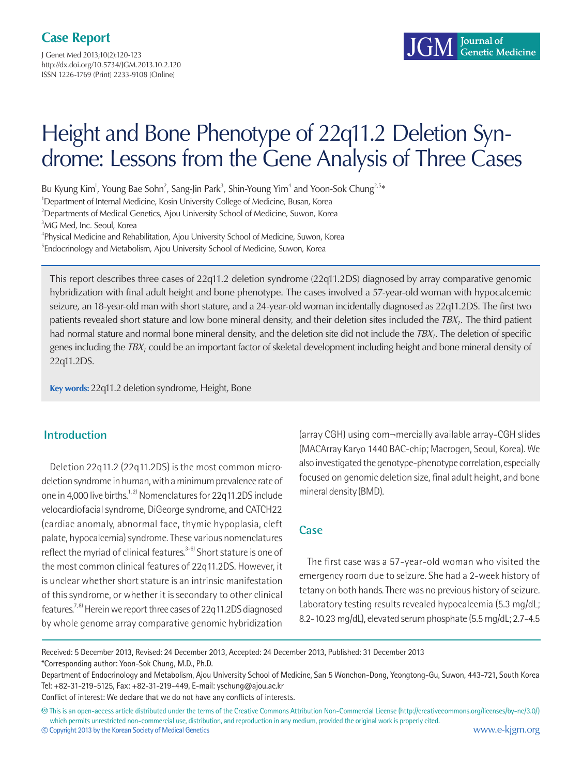J Genet Med 2013;10(2):120-123 http://dx.doi.org/10.5734/JGM.2013.10.2.120 ISSN 1226-1769 (Print) 2233-9108 (Online)

# Height and Bone Phenotype of 22q11.2 Deletion Syndrome: Lessons from the Gene Analysis of Three Cases

Bu Kyung Kim<sup>1</sup>, Young Bae Sohn<sup>2</sup>, Sang-Jin Park<sup>3</sup>, Shin-Young Yim<sup>4</sup> and Yoon-Sok Chung<sup>2,5</sup>\*

<sup>1</sup>Department of Internal Medicine, Kosin University College of Medicine, Busan, Korea

<sup>2</sup>Departments of Medical Genetics, Ajou University School of Medicine, Suwon, Korea

<sup>3</sup>MG Med, Inc. Seoul, Korea

<sup>4</sup>Physical Medicine and Rehabilitation, Ajou University School of Medicine, Suwon, Korea <sup>5</sup>Endocrinology and Metabolism, Ajou University School of Medicine, Suwon, Korea

This report describes three cases of 22q11.2 deletion syndrome (22q11.2DS) diagnosed by array comparative genomic hybridization with final adult height and bone phenotype. The cases involved a 57-year-old woman with hypocalcemic seizure, an 18-year-old man with short stature, and a 24-year-old woman incidentally diagnosed as 22q11.2DS. The first two patients revealed short stature and low bone mineral density, and their deletion sites included the  $TBX_1$ . The third patient had normal stature and normal bone mineral density, and the deletion site did not include the  $TBX_1$ . The deletion of specific genes including the  $TBX_1$  could be an important factor of skeletal development including height and bone mineral density of 22q11.2DS.

**Key words:** 22q11.2 deletion syndrome, Height, Bone

## **Introduction**

Deletion 22q11.2 (22q11.2DS) is the most common microdeletion syndrome in human, with a minimum prevalence rate of one in 4,000 live births.<sup>1,2)</sup> Nomenclatures for 22q11.2DS include velocardiofacial syndrome, DiGeorge syndrome, and CATCH22 (cardiac anomaly, abnormal face, thymic hypoplasia, cleft palate, hypocalcemia) syndrome. These various nomenclatures reflect the myriad of clinical features.<sup>3-6)</sup> Short stature is one of the most common clinical features of 22q11.2DS. However, it is unclear whether short stature is an intrinsic manifestation of this syndrome, or whether it is secondary to other clinical features.<sup>7,8)</sup> Herein we report three cases of 22q11.2DS diagnosed by whole genome array comparative genomic hybridization

(array CGH) using com¬mercially available array-CGH slides (MACArray Karyo 1440 BAC-chip; Macrogen, Seoul, Korea). We also investigated the genotype-phenotype correlation, especially focused on genomic deletion size, final adult height, and bone mineral density (BMD).

## **Case**

The first case was a 57-year-old woman who visited the emergency room due to seizure. She had a 2-week history of tetany on both hands. There was no previous history of seizure. Laboratory testing results revealed hypocalcemia (5.3 mg/dL; 8.2-10.23 mg/dL), elevated serum phosphate (5.5 mg/dL; 2.7-4.5

Received: 5 December 2013, Revised: 24 December 2013, Accepted: 24 December 2013, Published: 31 December 2013 \*Corresponding author: Yoon-Sok Chung, M.D., Ph.D.

Department of Endocrinology and Metabolism, Ajou University School of Medicine, San 5 Wonchon-Dong, Yeongtong-Gu, Suwon, 443-721, South Korea Tel: +82-31-219-5125, Fax: +82-31-219-449, E-mail: yschung@ajou.ac.kr

Conflict of interest: We declare that we do not have any conflicts of interests.

**<sup>㏄</sup>** This is an open-access article distributed under the terms of the Creative Commons Attribution Non-Commercial License (http://creativecommons.org/licenses/by-nc/3.0/) which permits unrestricted non-commercial use, distribution, and reproduction in any medium, provided the original work is properly cited. **<sup>c</sup>** Copyright 2013 by the Korean Society of Medical Genetics www.e-kjgm.org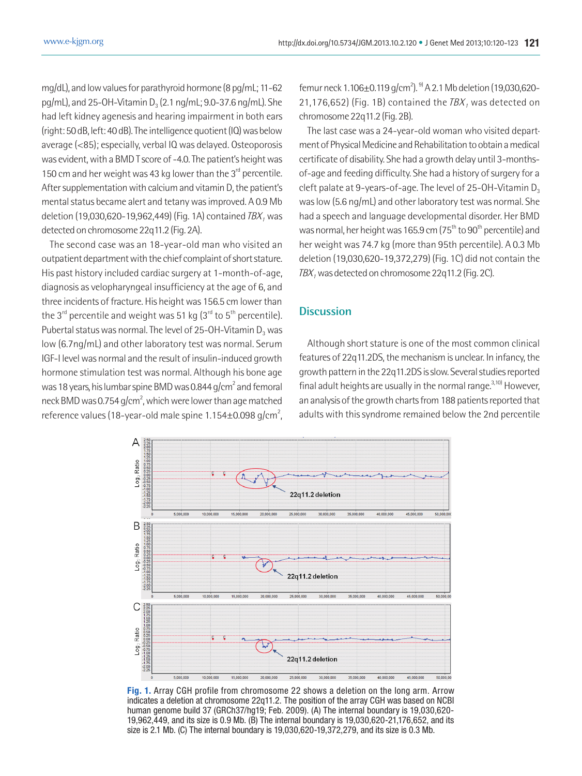mg/dL), and low values for parathyroid hormone (8 pg/mL; 11-62 pg/mL), and 25-OH-Vitamin  $D_3$  (2.1 ng/mL; 9.0-37.6 ng/mL). She had left kidney agenesis and hearing impairment in both ears (right: 50 dB, left: 40 dB). The intelligence quotient (IQ) was below average (<85); especially, verbal IQ was delayed. Osteoporosis was evident, with a BMD T score of -4.0. The patient's height was 150 cm and her weight was 43 kg lower than the  $3<sup>rd</sup>$  percentile. After supplementation with calcium and vitamin D, the patient's mental status became alert and tetany was improved. A 0.9 Mb deletion (19,030,620-19,962,449) (Fig. 1A) contained  $IBX_1$  was detected on chromosome 22q11.2 (Fig. 2A).

The second case was an 18-year-old man who visited an outpatient department with the chief complaint of short stature. His past history included cardiac surgery at 1-month-of-age, diagnosis as velopharyngeal insufficiency at the age of 6, and three incidents of fracture. His height was 156.5 cm lower than the 3<sup>rd</sup> percentile and weight was 51 kg  $(3^{rd}$  to 5<sup>th</sup> percentile). Pubertal status was normal. The level of 25-OH-Vitamin  $D_3$  was low (6.7ng/mL) and other laboratory test was normal. Serum IGF-I level was normal and the result of insulin-induced growth hormone stimulation test was normal. Although his bone age was 18 years, his lumbar spine BMD was 0.844 g/cm<sup>2</sup> and femoral neck BMD was 0.754 g/cm<sup>2</sup>, which were lower than age matched reference values (18-year-old male spine  $1.154\pm0.098$  g/cm<sup>2</sup>,

femur neck 1.106±0.119 g/cm<sup>2</sup>). <sup>9)</sup> A 2.1 Mb deletion (19,030,620-21,176,652) (Fig. 1B) contained the  $TBX_1$  was detected on chromosome 22q11.2 (Fig. 2B).

The last case was a 24-year-old woman who visited department of Physical Medicine and Rehabilitation to obtain a medical certificate of disability. She had a growth delay until 3-monthsof-age and feeding difficulty. She had a history of surgery for a cleft palate at 9-years-of-age. The level of 25-OH-Vitamin  $D_3$ was low (5.6 ng/mL) and other laboratory test was normal. She had a speech and language developmental disorder. Her BMD was normal, her height was 165.9 cm  $(75<sup>th</sup>$  to 90<sup>th</sup> percentile) and her weight was 74.7 kg (more than 95th percentile). A 0.3 Mb deletion (19,030,620-19,372,279) (Fig. 1C) did not contain the  $TBX<sub>1</sub>$  was detected on chromosome 22q11.2 (Fig. 2C).

#### **Discussion**

Although short stature is one of the most common clinical features of 22q11.2DS, the mechanism is unclear. In infancy, the growth pattern in the 22q11.2DS is slow. Several studies reported final adult heights are usually in the normal range. $3,10)$  However, an analysis of the growth charts from 188 patients reported that adults with this syndrome remained below the 2nd percentile



**Fig. 1.** Array CGH profile from chromosome 22 shows a deletion on the long arm. Arrow indicates a deletion at chromosome 22q11.2. The position of the array CGH was based on NCBI human genome build 37 (GRCh37/hg19; Feb. 2009). (A) The internal boundary is 19,030,620- 19,962,449, and its size is 0.9 Mb. (B) The internal boundary is 19,030,620-21,176,652, and its size is 2.1 Mb. (C) The internal boundary is 19,030,620-19,372,279, and its size is 0.3 Mb.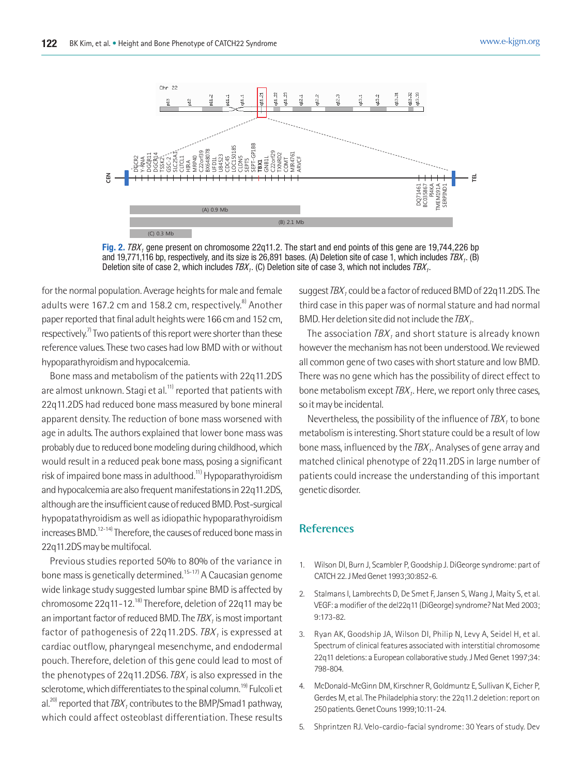

**Fig. 2.** TBX<sub>1</sub> gene present on chromosome 22q11.2. The start and end points of this gene are 19,744,226 bp and 19,771,116 bp, respectively, and its size is 26,891 bases. (A) Deletion site of case 1, which includes  $TBX_1$ . (B) Deletion site of case 2, which includes  $TBX_1$ . (C) Deletion site of case 3, which not includes  $TBX_1$ .

for the normal population. Average heights for male and female adults were 167.2 cm and 158.2 cm, respectively.<sup>8)</sup> Another paper reported that final adult heights were 166 cm and 152 cm, respectively.<sup>7)</sup> Two patients of this report were shorter than these reference values. These two cases had low BMD with or without hypoparathyroidism and hypocalcemia.

Bone mass and metabolism of the patients with 22q11.2DS are almost unknown. Stagi et al.<sup>11)</sup> reported that patients with 22q11.2DS had reduced bone mass measured by bone mineral apparent density. The reduction of bone mass worsened with age in adults. The authors explained that lower bone mass was probably due to reduced bone modeling during childhood, which would result in a reduced peak bone mass, posing a significant risk of impaired bone mass in adulthood.<sup>11)</sup> Hypoparathyroidism and hypocalcemia are also frequent manifestations in 22q11.2DS, although are the insufficient cause of reduced BMD. Post-surgical hypopatathyroidism as well as idiopathic hypoparathyroidism increases BMD.<sup>12-14)</sup> Therefore, the causes of reduced bone mass in 22q11.2DS may be multifocal.

Previous studies reported 50% to 80% of the variance in bone mass is genetically determined.<sup>15-17)</sup> A Caucasian genome wide linkage study suggested lumbar spine BMD is affected by chromosome 22q11-12.<sup>18)</sup> Therefore, deletion of 22q11 may be an important factor of reduced BMD. The  $IBX<sub>1</sub>$  is most important factor of pathogenesis of 22q11.2DS.  $IBX<sub>1</sub>$  is expressed at cardiac outflow, pharyngeal mesenchyme, and endodermal pouch. Therefore, deletion of this gene could lead to most of the phenotypes of 22q11.2DS6.  $IBX<sub>1</sub>$  is also expressed in the sclerotome, which differentiates to the spinal column.<sup>19)</sup> Fulcoli et al.<sup>20)</sup> reported that  $IBX_1$  contributes to the BMP/Smad1 pathway, which could affect osteoblast differentiation. These results

suggest  $TBX_1$  could be a factor of reduced BMD of 22q11.2DS. The third case in this paper was of normal stature and had normal BMD. Her deletion site did not include the  $TBX_1$ .

The association  $TBX_1$  and short stature is already known however the mechanism has not been understood. We reviewed all common gene of two cases with short stature and low BMD. There was no gene which has the possibility of direct effect to bone metabolism except  $TBX_1$ . Here, we report only three cases, so it may be incidental.

Nevertheless, the possibility of the influence of  $TBX_1$  to bone metabolism is interesting. Short stature could be a result of low bone mass, influenced by the  $IBX_1$ . Analyses of gene array and matched clinical phenotype of 22q11.2DS in large number of patients could increase the understanding of this important genetic disorder.

## **References**

- 1. Wilson DI, Burn J, Scambler P, Goodship J. DiGeorge syndrome: part of CATCH 22. J Med Genet 1993;30:852-6.
- 2. Stalmans I, Lambrechts D, De Smet F, Jansen S, Wang J, Maity S, et al. VEGF: a modifier of the del22q11 (DiGeorge) syndrome? Nat Med 2003; 9:173-82.
- 3. Ryan AK, Goodship JA, Wilson DI, Philip N, Levy A, Seidel H, et al. Spectrum of clinical features associated with interstitial chromosome 22q11 deletions: a European collaborative study. J Med Genet 1997;34: 798-804.
- 4. McDonald-McGinn DM, Kirschner R, Goldmuntz E, Sullivan K, Eicher P, Gerdes M, et al.The Philadelphia story: the 22q11.2 deletion: report on 250 patients. Genet Couns 1999;10:11-24.
- 5. Shprintzen RJ. Velo-cardio-facial syndrome: 30 Years of study. Dev